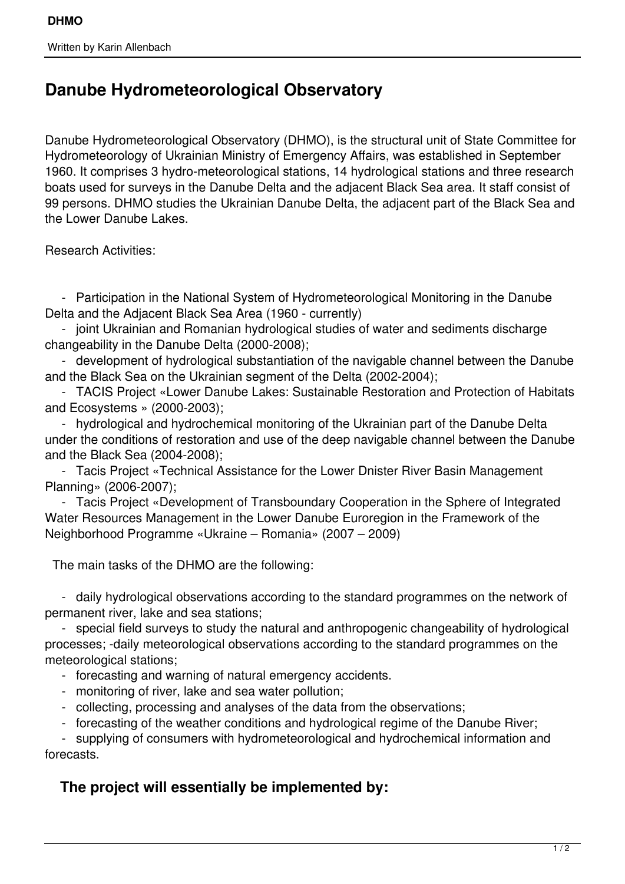## **Danube Hydrometeorological Observatory**

Danube Hydrometeorological Observatory (DHMO), is the structural unit of State Committee for Hydrometeorology of Ukrainian Ministry of Emergency Affairs, was established in September 1960. It comprises 3 hydro-meteorological stations, 14 hydrological stations and three research boats used for surveys in the Danube Delta and the adjacent Black Sea area. It staff consist of 99 persons. DHMO studies the Ukrainian Danube Delta, the adjacent part of the Black Sea and the Lower Danube Lakes.

Research Activities:

 - Participation in the National System of Hydrometeorological Monitoring in the Danube Delta and the Adjacent Black Sea Area (1960 - currently)

 - joint Ukrainian and Romanian hydrological studies of water and sediments discharge changeability in the Danube Delta (2000-2008);

 - development of hydrological substantiation of the navigable channel between the Danube and the Black Sea on the Ukrainian segment of the Delta (2002-2004);

 - TACIS Project «Lower Danube Lakes: Sustainable Restoration and Protection of Habitats and Ecosystems » (2000-2003);

 - hydrological and hydrochemical monitoring of the Ukrainian part of the Danube Delta under the conditions of restoration and use of the deep navigable channel between the Danube and the Black Sea (2004-2008);

 - Tacis Project «Technical Assistance for the Lower Dnister River Basin Management Planning» (2006-2007);

 - Tacis Project «Development of Transboundary Cooperation in the Sphere of Integrated Water Resources Management in the Lower Danube Euroregion in the Framework of the Neighborhood Programme «Ukraine – Romania» (2007 – 2009)

The main tasks of the DHMO are the following:

 - daily hydrological observations according to the standard programmes on the network of permanent river, lake and sea stations;

 - special field surveys to study the natural and anthropogenic changeability of hydrological processes; -daily meteorological observations according to the standard programmes on the meteorological stations;

- forecasting and warning of natural emergency accidents.
- monitoring of river, lake and sea water pollution;
- collecting, processing and analyses of the data from the observations;
- forecasting of the weather conditions and hydrological regime of the Danube River;

 - supplying of consumers with hydrometeorological and hydrochemical information and forecasts.

## **The project will essentially be implemented by:**